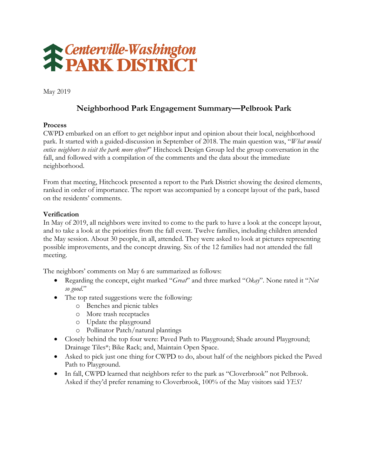

May 2019

# **Neighborhood Park Engagement Summary—Pelbrook Park**

#### **Process**

CWPD embarked on an effort to get neighbor input and opinion about their local, neighborhood park. It started with a guided-discussion in September of 2018. The main question was, "*What would entice neighbors to visit the park more often?*" Hitchcock Design Group led the group conversation in the fall, and followed with a compilation of the comments and the data about the immediate neighborhood.

From that meeting, Hitchcock presented a report to the Park District showing the desired elements, ranked in order of importance. The report was accompanied by a concept layout of the park, based on the residents' comments.

#### **Verification**

In May of 2019, all neighbors were invited to come to the park to have a look at the concept layout, and to take a look at the priorities from the fall event. Twelve families, including children attended the May session. About 30 people, in all, attended. They were asked to look at pictures representing possible improvements, and the concept drawing. Six of the 12 families had not attended the fall meeting.

The neighbors' comments on May 6 are summarized as follows:

- Regarding the concept, eight marked "*Great*" and three marked "*Okay*". None rated it "*Not so good*."
- The top rated suggestions were the following:
	- o Benches and picnic tables
	- o More trash receptacles
	- o Update the playground
	- o Pollinator Patch/natural plantings
- Closely behind the top four were: Paved Path to Playground; Shade around Playground; Drainage Tiles\*; Bike Rack; and, Maintain Open Space.
- Asked to pick just one thing for CWPD to do, about half of the neighbors picked the Paved Path to Playground.
- In fall, CWPD learned that neighbors refer to the park as "Cloverbrook" not Pelbrook. Asked if they'd prefer renaming to Cloverbrook, 100% of the May visitors said *YES!*